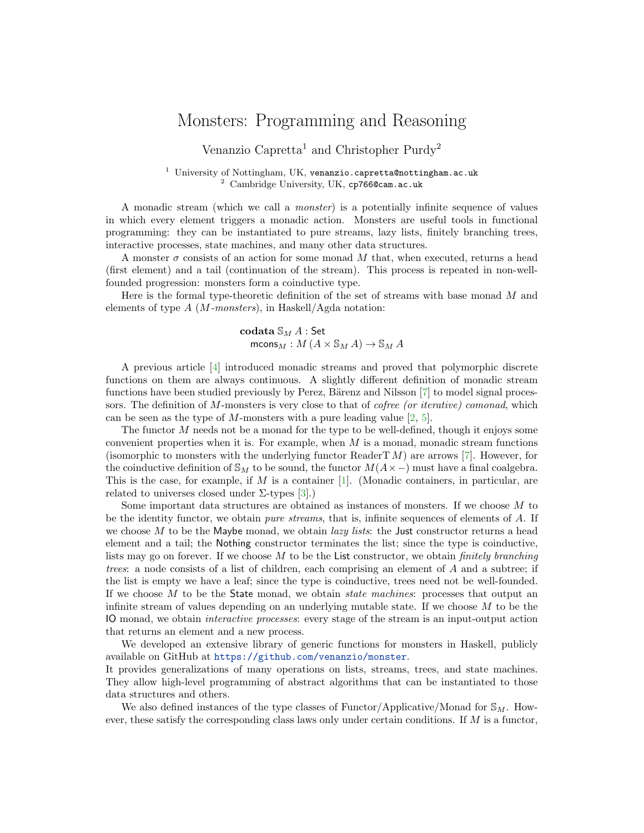## Monsters: Programming and Reasoning

Venanzio Capretta<sup>1</sup> and Christopher Purdy<sup>2</sup>

 $^1$ University of Nottingham, UK, venanzio.capretta@nottingham.ac.uk <sup>2</sup> Cambridge University, UK, cp766@cam.ac.uk

A monadic stream (which we call a monster) is a potentially infinite sequence of values in which every element triggers a monadic action. Monsters are useful tools in functional programming: they can be instantiated to pure streams, lazy lists, finitely branching trees, interactive processes, state machines, and many other data structures.

A monster  $\sigma$  consists of an action for some monad M that, when executed, returns a head (first element) and a tail (continuation of the stream). This process is repeated in non-wellfounded progression: monsters form a coinductive type.

Here is the formal type-theoretic definition of the set of streams with base monad  $M$  and elements of type  $A$  (*M*-monsters), in Haskell/Agda notation:

$$
\operatorname{codata} \mathbb{S}_M A : \operatorname{Set} \\ \operatorname{mcons}_M : M (A \times \mathbb{S}_M A) \to \mathbb{S}_M A
$$

A previous article [\[4\]](#page-1-0) introduced monadic streams and proved that polymorphic discrete functions on them are always continuous. A slightly different definition of monadic stream functions have been studied previously by Perez, Bärenz and Nilsson [\[7\]](#page-1-1) to model signal processors. The definition of M-monsters is very close to that of *cofree (or iterative) comonad*, which can be seen as the type of M-monsters with a pure leading value  $[2, 5]$  $[2, 5]$  $[2, 5]$ .

The functor M needs not be a monad for the type to be well-defined, though it enjoys some convenient properties when it is. For example, when  $M$  is a monad, monadic stream functions (isomorphic to monsters with the underlying functor ReaderT  $M$ ) are arrows [\[7\]](#page-1-1). However, for the coinductive definition of  $\mathbb{S}_M$  to be sound, the functor  $M(A \times -)$  must have a final coalgebra. This is the case, for example, if  $M$  is a container [\[1\]](#page-1-4). (Monadic containers, in particular, are related to universes closed under  $\Sigma$ -types  $[3]$ .)

Some important data structures are obtained as instances of monsters. If we choose M to be the identity functor, we obtain pure streams, that is, infinite sequences of elements of A. If we choose  $M$  to be the Maybe monad, we obtain *lazy lists*: the Just constructor returns a head element and a tail; the Nothing constructor terminates the list; since the type is coinductive, lists may go on forever. If we choose  $M$  to be the List constructor, we obtain *finitely branching* trees: a node consists of a list of children, each comprising an element of A and a subtree; if the list is empty we have a leaf; since the type is coinductive, trees need not be well-founded. If we choose  $M$  to be the State monad, we obtain *state machines*: processes that output an infinite stream of values depending on an underlying mutable state. If we choose  $M$  to be the IO monad, we obtain interactive processes: every stage of the stream is an input-output action that returns an element and a new process.

We developed an extensive library of generic functions for monsters in Haskell, publicly available on GitHub at <https://github.com/venanzio/monster>.

It provides generalizations of many operations on lists, streams, trees, and state machines. They allow high-level programming of abstract algorithms that can be instantiated to those data structures and others.

We also defined instances of the type classes of Functor/Applicative/Monad for  $\mathcal{S}_M$ . However, these satisfy the corresponding class laws only under certain conditions. If  $M$  is a functor,